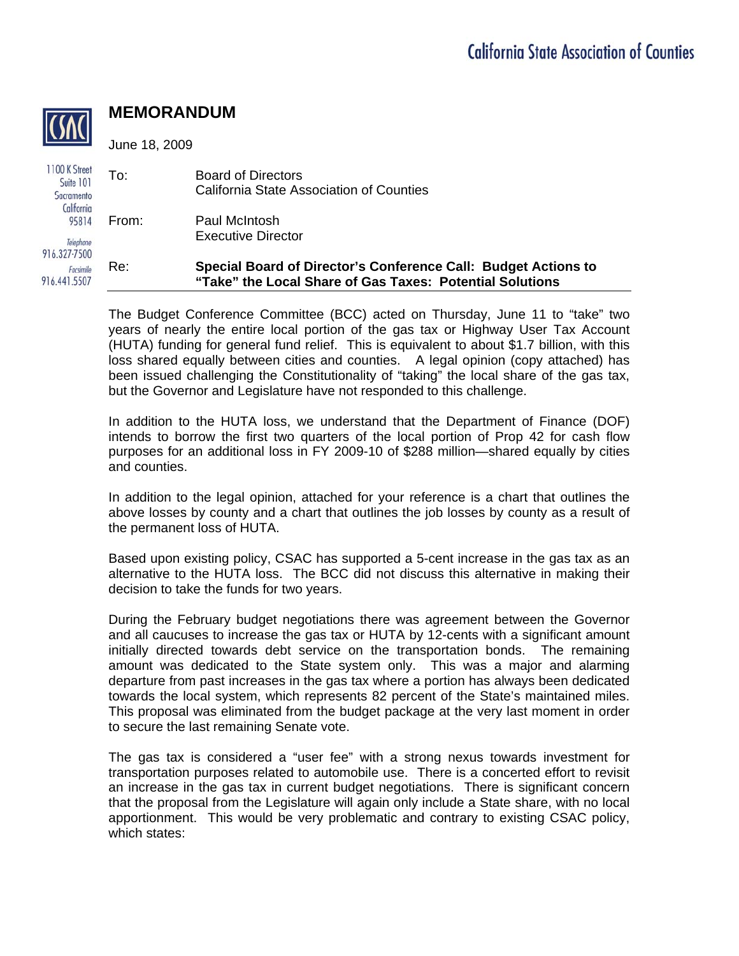

## **MEMORANDUM**

June 18, 2009

| 1100 K Street<br>Suite 101<br>Sacramento<br>California | To:   | <b>Board of Directors</b><br>California State Association of Counties                                                      |
|--------------------------------------------------------|-------|----------------------------------------------------------------------------------------------------------------------------|
| 95814<br>Telephone                                     | From: | Paul McIntosh<br><b>Executive Director</b>                                                                                 |
| 916.327-7500<br>Facsimile<br>916.441.5507              | Re:   | Special Board of Director's Conference Call: Budget Actions to<br>"Take" the Local Share of Gas Taxes: Potential Solutions |

The Budget Conference Committee (BCC) acted on Thursday, June 11 to "take" two years of nearly the entire local portion of the gas tax or Highway User Tax Account (HUTA) funding for general fund relief. This is equivalent to about \$1.7 billion, with this loss shared equally between cities and counties. A legal opinion (copy attached) has been issued challenging the Constitutionality of "taking" the local share of the gas tax, but the Governor and Legislature have not responded to this challenge.

In addition to the HUTA loss, we understand that the Department of Finance (DOF) intends to borrow the first two quarters of the local portion of Prop 42 for cash flow purposes for an additional loss in FY 2009-10 of \$288 million—shared equally by cities and counties.

In addition to the legal opinion, attached for your reference is a chart that outlines the above losses by county and a chart that outlines the job losses by county as a result of the permanent loss of HUTA.

Based upon existing policy, CSAC has supported a 5-cent increase in the gas tax as an alternative to the HUTA loss. The BCC did not discuss this alternative in making their decision to take the funds for two years.

During the February budget negotiations there was agreement between the Governor and all caucuses to increase the gas tax or HUTA by 12-cents with a significant amount initially directed towards debt service on the transportation bonds. The remaining amount was dedicated to the State system only. This was a major and alarming departure from past increases in the gas tax where a portion has always been dedicated towards the local system, which represents 82 percent of the State's maintained miles. This proposal was eliminated from the budget package at the very last moment in order to secure the last remaining Senate vote.

The gas tax is considered a "user fee" with a strong nexus towards investment for transportation purposes related to automobile use. There is a concerted effort to revisit an increase in the gas tax in current budget negotiations. There is significant concern that the proposal from the Legislature will again only include a State share, with no local apportionment. This would be very problematic and contrary to existing CSAC policy, which states: